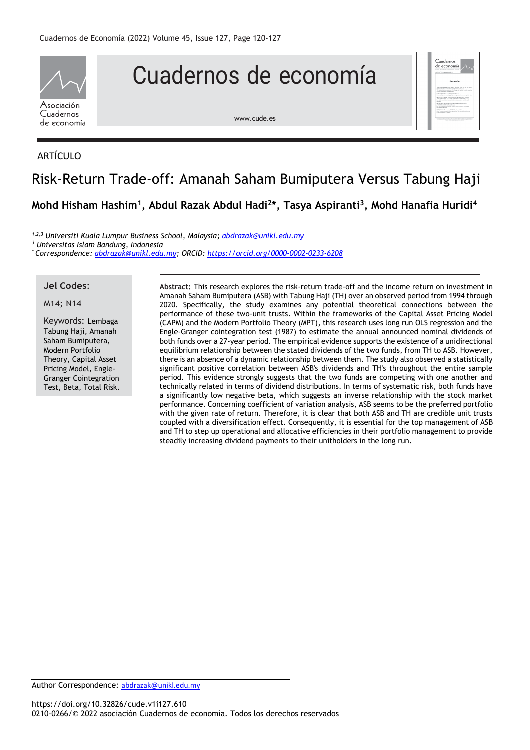

## Cuadernos de economía

[www.cude.es](http://www.cude.es/)



#### ARTÍCULO

# Risk-Return Trade-off: Amanah Saham Bumiputera Versus Tabung Haji

**Mohd Hisham Hashim<sup>1</sup> , Abdul Razak Abdul Hadi<sup>2</sup> \*, Tasya Aspiranti<sup>3</sup> , Mohd Hanafia Huridi<sup>4</sup>**

*1,2,3 Universiti Kuala Lumpur Business School, Malaysia[; abdrazak@unikl.edu.my](mailto:abdrazak@unikl.edu.my) <sup>3</sup> Universitas Islam Bandung, Indonesia*

*\* Correspondence[: abdrazak@unikl.edu.my;](mailto:abdrazak@unikl.edu.my) ORCID: <https://orcid.org/0000-0002-0233-6208>*

### **Jel Codes**:

M14; N14

Keywords: Lembaga Tabung Haji, Amanah Saham Bumiputera, Modern Portfolio Theory, Capital Asset Pricing Model, Engle-Granger Cointegration Test, Beta, Total Risk. **Abstract:** This research explores the risk-return trade-off and the income return on investment in Amanah Saham Bumiputera (ASB) with Tabung Haji (TH) over an observed period from 1994 through 2020. Specifically, the study examines any potential theoretical connections between the performance of these two-unit trusts. Within the frameworks of the Capital Asset Pricing Model (CAPM) and the Modern Portfolio Theory (MPT), this research uses long run OLS regression and the Engle-Granger cointegration test (1987) to estimate the annual announced nominal dividends of both funds over a 27-year period. The empirical evidence supports the existence of a unidirectional equilibrium relationship between the stated dividends of the two funds, from TH to ASB. However, there is an absence of a dynamic relationship between them. The study also observed a statistically significant positive correlation between ASB's dividends and TH's throughout the entire sample period. This evidence strongly suggests that the two funds are competing with one another and technically related in terms of dividend distributions. In terms of systematic risk, both funds have a significantly low negative beta, which suggests an inverse relationship with the stock market performance. Concerning coefficient of variation analysis, ASB seems to be the preferred portfolio with the given rate of return. Therefore, it is clear that both ASB and TH are credible unit trusts coupled with a diversification effect. Consequently, it is essential for the top management of ASB and TH to step up operational and allocative efficiencies in their portfolio management to provide steadily increasing dividend payments to their unitholders in the long run.

Author Correspondence: [abdrazak@unikl.edu.my](mailto:abdrazak@unikl.edu.my)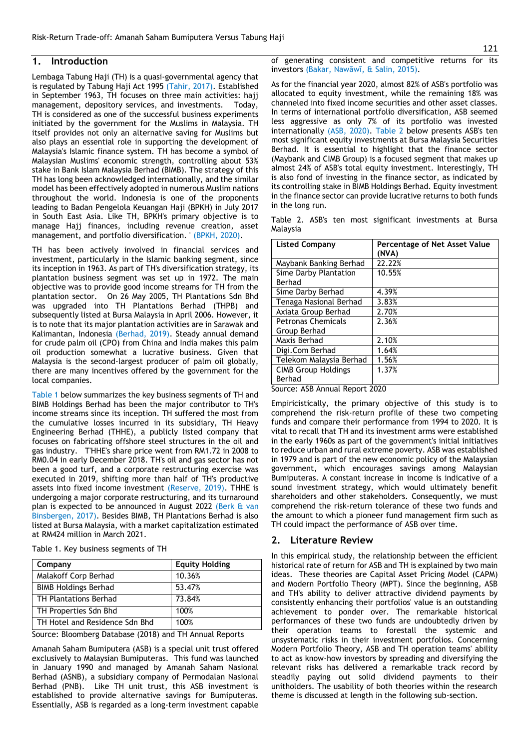#### **1. Introduction**

Lembaga Tabung Haji (TH) is a quasi-governmental agency that is regulated by Tabung Haji Act 1995 (Tahir, 2017). Established in September 1963, TH focuses on three main activities: hajj management, depository services, and investments. Today, TH is considered as one of the successful business experiments initiated by the government for the Muslims in Malaysia. TH itself provides not only an alternative saving for Muslims but also plays an essential role in supporting the development of Malaysia's Islamic finance system. TH has become a symbol of Malaysian Muslims' economic strength, controlling about 53% stake in Bank Islam Malaysia Berhad (BIMB). The strategy of this TH has long been acknowledged internationally, and the similar model has been effectively adopted in numerous Muslim nations throughout the world. Indonesia is one of the proponents leading to Badan Pengelola Keuangan Haji (BPKH) in July 2017 in South East Asia. Like TH, BPKH's primary objective is to manage Hajj finances, including revenue creation, asset management, and portfolio diversification. ' (BPKH, 2020).

TH has been actively involved in financial services and investment, particularly in the Islamic banking segment, since its inception in 1963. As part of TH's diversification strategy, its plantation business segment was set up in 1972. The main objective was to provide good income streams for TH from the plantation sector. On 26 May 2005, TH Plantations Sdn Bhd was upgraded into TH Plantations Berhad (THPB) and subsequently listed at Bursa Malaysia in April 2006. However, it is to note that its major plantation activities are in Sarawak and Kalimantan, Indonesia (Berhad, 2019). Steady annual demand for crude palm oil (CPO) from China and India makes this palm oil production somewhat a lucrative business. Given that Malaysia is the second-largest producer of palm oil globally, there are many incentives offered by the government for the local companies.

Table 1 below summarizes the key business segments of TH and BIMB Holdings Berhad has been the major contributor to TH's income streams since its inception. TH suffered the most from the cumulative losses incurred in its subsidiary, TH Heavy Engineering Berhad (THHE), a publicly listed company that focuses on fabricating offshore steel structures in the oil and gas industry. T'HHE's share price went from RM1.72 in 2008 to RM0.04 in early December 2018. TH's oil and gas sector has not been a good turf, and a corporate restructuring exercise was executed in 2019, shifting more than half of TH's productive assets into fixed income investment (Reserve, 2019). THHE is undergoing a major corporate restructuring, and its turnaround plan is expected to be announced in August 2022 (Berk & van Binsbergen, 2017). Besides BIMB, TH Plantations Berhad is also listed at Bursa Malaysia, with a market capitalization estimated at RM424 million in March 2021.

| Company                        | <b>Equity Holding</b> |
|--------------------------------|-----------------------|
| Malakoff Corp Berhad           | 10.36%                |
| <b>BIMB Holdings Berhad</b>    | 53.47%                |
| <b>TH Plantations Berhad</b>   | 73.84%                |
| TH Properties Sdn Bhd          | 100%                  |
| TH Hotel and Residence Sdn Bhd | 100%                  |

Table 1. Key business segments of TH

Source: Bloomberg Database (2018) and TH Annual Reports

Amanah Saham Bumiputera (ASB) is a special unit trust offered exclusively to Malaysian Bumiputeras. This fund was launched in January 1990 and managed by Amanah Saham Nasional Berhad (ASNB), a subsidiary company of Permodalan Nasional Berhad (PNB). Like TH unit trust, this ASB investment is established to provide alternative savings for Bumiputeras. Essentially, ASB is regarded as a long-term investment capable

of generating consistent and competitive returns for its investors (Bakar, Nawāwī, & Salin, 2015).

As for the financial year 2020, almost 82% of ASB's portfolio was allocated to equity investment, while the remaining 18% was channeled into fixed income securities and other asset classes. In terms of international portfolio diversification, ASB seemed less aggressive as only 7% of its portfolio was invested internationally (ASB, 2020). Table 2 below presents ASB's ten most significant equity investments at Bursa Malaysia Securities Berhad. It is essential to highlight that the finance sector (Maybank and CIMB Group) is a focused segment that makes up almost 24% of ASB's total equity investment. Interestingly, TH is also fond of investing in the finance sector, as indicated by its controlling stake in BIMB Holdings Berhad. Equity investment in the finance sector can provide lucrative returns to both funds in the long run.

Table 2. ASB's ten most significant investments at Bursa Malaysia

| Percentage of Net Asset Value<br>(NVA) |
|----------------------------------------|
| 22.22%                                 |
| 10.55%                                 |
|                                        |
| 4.39%                                  |
| 3.83%                                  |
| 2.70%                                  |
| 2.36%                                  |
|                                        |
| 2.10%                                  |
| 1.64%                                  |
| 1.56%                                  |
| 1.37%                                  |
|                                        |
|                                        |

Source: ASB Annual Report 2020

Empiricistically, the primary objective of this study is to comprehend the risk-return profile of these two competing funds and compare their performance from 1994 to 2020. It is vital to recall that TH and its investment arms were established in the early 1960s as part of the government's initial initiatives to reduce urban and rural extreme poverty. ASB was established in 1979 and is part of the new economic policy of the Malaysian government, which encourages savings among Malaysian Bumiputeras. A constant increase in income is indicative of a sound investment strategy, which would ultimately benefit shareholders and other stakeholders. Consequently, we must comprehend the risk-return tolerance of these two funds and the amount to which a pioneer fund management firm such as TH could impact the performance of ASB over time.

#### **2. Literature Review**

In this empirical study, the relationship between the efficient historical rate of return for ASB and TH is explained by two main ideas. These theories are Capital Asset Pricing Model (CAPM) and Modern Portfolio Theory (MPT). Since the beginning, ASB and TH's ability to deliver attractive dividend payments by consistently enhancing their portfolios' value is an outstanding achievement to ponder over. The remarkable historical performances of these two funds are undoubtedly driven by their operation teams to forestall the systemic and unsystematic risks in their investment portfolios. Concerning Modern Portfolio Theory, ASB and TH operation teams' ability to act as know-how investors by spreading and diversifying the relevant risks has delivered a remarkable track record by steadily paying out solid dividend payments to their unitholders. The usability of both theories within the research theme is discussed at length in the following sub-section.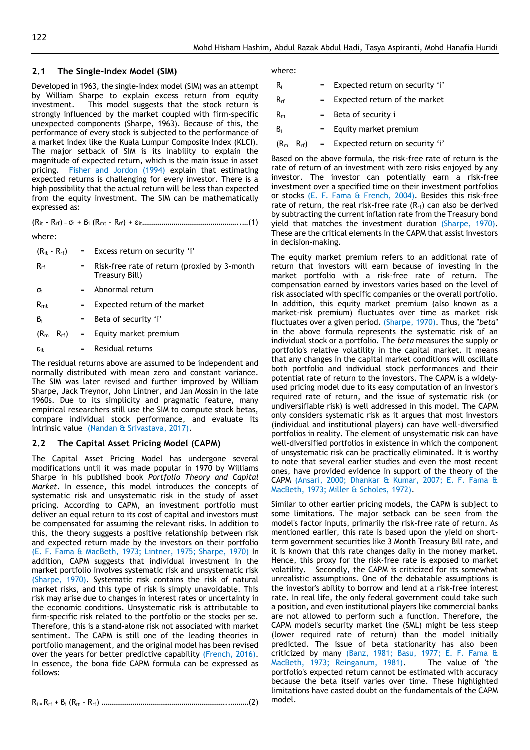#### **2.1 The Single-Index Model (SIM)**

Developed in 1963, the single-index model (SIM) was an attempt by William Sharpe to explain excess return from equity investment. This model suggests that the stock return is strongly influenced by the market coupled with firm-specific unexpected components (Sharpe, 1963). Because of this, the performance of every stock is subjected to the performance of a market index like the Kuala Lumpur Composite Index (KLCI). The major setback of SIM is its inability to explain the magnitude of expected return, which is the main issue in asset pricing. Fisher and Jordon (1994) explain that estimating expected returns is challenging for every investor. There is a high possibility that the actual return will be less than expected from the equity investment. The SIM can be mathematically expressed as:

 $(R_{it} - R_{rf}) = \sigma_i + \beta_i (R_{mt} - R_{rf}) + \epsilon_{it}$  (1)

where:

| $(R_{it} - R_{rf})$ |         | = Excess return on security 'i'                                |
|---------------------|---------|----------------------------------------------------------------|
| $R_{rf}$            | $=$     | Risk-free rate of return (proxied by 3-month<br>Treasury Bill) |
| $\sigma_i$          |         | $=$ Abnormal return                                            |
| $R_{\rm mt}$        | $=$     | Expected return of the market                                  |
| $B_i$               |         | $=$ Beta of security 'i'                                       |
| $(R_m - R_{rf})$    |         | = Equity market premium                                        |
| $\epsilon_{it}$     | $=$ $-$ | Residual returns                                               |
|                     |         |                                                                |

The residual returns above are assumed to be independent and normally distributed with mean zero and constant variance. The SIM was later revised and further improved by William Sharpe, Jack Treynor, John Lintner, and Jan Mossin in the late 1960s. Due to its simplicity and pragmatic feature, many empirical researchers still use the SIM to compute stock betas, compare individual stock performance, and evaluate its intrinsic value (Nandan & Srivastava, 2017).

#### **2.2 The Capital Asset Pricing Model (CAPM)**

The Capital Asset Pricing Model has undergone several modifications until it was made popular in 1970 by Williams Sharpe in his published book *Portfolio Theory and Capital Market.* In essence, this model introduces the concepts of systematic risk and unsystematic risk in the study of asset pricing. According to CAPM, an investment portfolio must deliver an equal return to its cost of capital and investors must be compensated for assuming the relevant risks. In addition to this, the theory suggests a positive relationship between risk and expected return made by the investors on their portfolio (E. F. Fama & MacBeth, 1973; Lintner, 1975; Sharpe, 1970) In addition, CAPM suggests that individual investment in the market portfolio involves systematic risk and unsystematic risk (Sharpe, 1970). Systematic risk contains the risk of natural market risks, and this type of risk is simply unavoidable. This risk may arise due to changes in interest rates or uncertainty in the economic conditions. Unsystematic risk is attributable to firm-specific risk related to the portfolio or the stocks per se. Therefore, this is a stand-alone risk not associated with market sentiment. The CAPM is still one of the leading theories in portfolio management, and the original model has been revised over the years for better predictive capability (French, 2016). In essence, the bona fide CAPM formula can be expressed as follows:

Ri = Rrf + β<sup>i</sup> (R<sup>m</sup> – Rrf) ………………………………………………………..………(2)

where:

| R.             |     | Expected return on security 'i' |
|----------------|-----|---------------------------------|
| $R_{rf}$       |     | Expected return of the market   |
| R <sub>m</sub> | $=$ | Beta of security i              |
| Bi             |     | Equity market premium           |

 $(R_m - R_{rf})$  = Expected return on security 'i'

Based on the above formula, the risk-free rate of return is the rate of return of an investment with zero risks enjoyed by any investor. The investor can potentially earn a risk-free investment over a specified time on their investment portfolios or stocks (E. F. Fama & French, 2004). Besides this risk-free rate of return, the real risk-free rate  $(R<sub>rf</sub>)$  can also be derived by subtracting the current inflation rate from the Treasury bond yield that matches the investment duration (Sharpe, 1970). These are the critical elements in the CAPM that assist investors in decision-making.

The equity market premium refers to an additional rate of return that investors will earn because of investing in the market portfolio with a risk-free rate of return. The compensation earned by investors varies based on the level of risk associated with specific companies or the overall portfolio. In addition, this equity market premium (also known as a market-risk premium) fluctuates over time as market risk fluctuates over a given period. (Sharpe, 1970). Thus, the "*beta*" in the above formula represents the systematic risk of an individual stock or a portfolio. The *beta* measures the supply or portfolio's relative volatility in the capital market. It means that any changes in the capital market conditions will oscillate both portfolio and individual stock performances and their potential rate of return to the investors. The CAPM is a widelyused pricing model due to its easy computation of an investor's required rate of return, and the issue of systematic risk (or undiversifiable risk) is well addressed in this model. The CAPM only considers systematic risk as it argues that most investors (individual and institutional players) can have well-diversified portfolios in reality. The element of unsystematic risk can have well-diversified portfolios in existence in which the component of unsystematic risk can be practically eliminated. It is worthy to note that several earlier studies and even the most recent ones, have provided evidence in support of the theory of the CAPM (Ansari, 2000; Dhankar & Kumar, 2007; E. F. Fama & MacBeth, 1973; Miller & Scholes, 1972).

Similar to other earlier pricing models, the CAPM is subject to some limitations. The major setback can be seen from the model's factor inputs, primarily the risk-free rate of return. As mentioned earlier, this rate is based upon the yield on shortterm government securities like 3 Month Treasury Bill rate, and it is known that this rate changes daily in the money market. Hence, this proxy for the risk-free rate is exposed to market volatility. Secondly, the CAPM is criticized for its somewhat unrealistic assumptions. One of the debatable assumptions is the investor's ability to borrow and lend at a risk-free interest rate. In real life, the only federal government could take such a position, and even institutional players like commercial banks are not allowed to perform such a function. Therefore, the CAPM model's security market line (SML) might be less steep (lower required rate of return) than the model initially predicted. The issue of beta stationarity has also been criticized by many (Banz, 1981; Basu, 1977; E. F. Fama & MacBeth, 1973; Reinganum, 1981). The value of 'the portfolio's expected return cannot be estimated with accuracy because the beta itself varies over time. These highlighted limitations have casted doubt on the fundamentals of the CAPM model.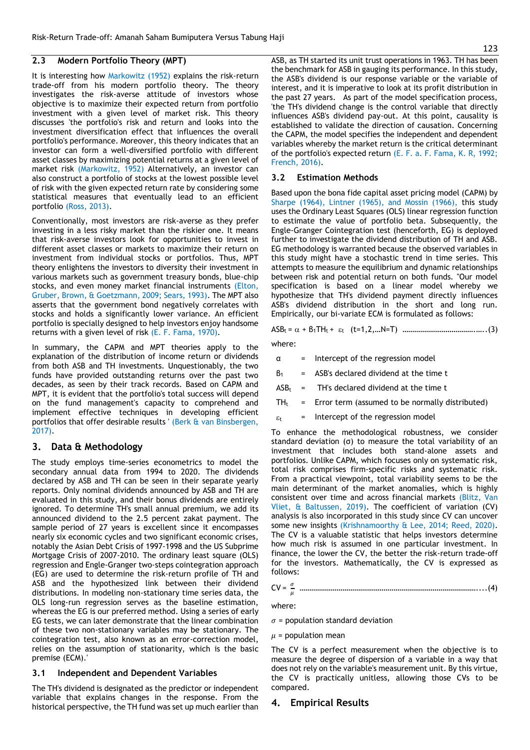#### **2.3 Modern Portfolio Theory (MPT)**

It is interesting how Markowitz (1952) explains the risk-return trade-off from his modern portfolio theory. The theory investigates the risk-averse attitude of investors whose objective is to maximize their expected return from portfolio investment with a given level of market risk. This theory discusses 'the portfolio's risk and return and looks into the investment diversification effect that influences the overall portfolio's performance. Moreover, this theory indicates that an investor can form a well-diversified portfolio with different asset classes by maximizing potential returns at a given level of market risk (Markowitz, 1952) Alternatively, an investor can also construct a portfolio of stocks at the lowest possible level of risk with the given expected return rate by considering some statistical measures that eventually lead to an efficient portfolio (Ross, 2013).

Conventionally, most investors are risk-averse as they prefer investing in a less risky market than the riskier one. It means that risk-averse investors look for opportunities to invest in different asset classes or markets to maximize their return on investment from individual stocks or portfolios. Thus, MPT theory enlightens the investors to diversity their investment in various markets such as government treasury bonds, blue-chip stocks, and even money market financial instruments (Elton, Gruber, Brown, & Goetzmann, 2009; Sears, 1993). The MPT also asserts that the government bond negatively correlates with stocks and holds a significantly lower variance. An efficient portfolio is specially designed to help investors enjoy handsome returns with a given level of risk (E. F. Fama, 1970).

In summary, the CAPM and MPT theories apply to the explanation of the distribution of income return or dividends from both ASB and TH investments. Unquestionably, the two funds have provided outstanding returns over the past two decades, as seen by their track records. Based on CAPM and MPT, it is evident that the portfolio's total success will depend on the fund management's capacity to comprehend and implement effective techniques in developing efficient portfolios that offer desirable results ' (Berk & van Binsbergen, 2017).

#### **3. Data & Methodology**

The study employs time-series econometrics to model the secondary annual data from 1994 to 2020. The dividends declared by ASB and TH can be seen in their separate yearly reports. Only nominal dividends announced by ASB and TH are evaluated in this study, and their bonus dividends are entirely ignored. To determine TH's small annual premium, we add its announced dividend to the 2.5 percent zakat payment. The sample period of 27 years is excellent since it encompasses nearly six economic cycles and two significant economic crises, notably the Asian Debt Crisis of 1997-1998 and the US Subprime Mortgage Crisis of 2007-2010. The ordinary least square (OLS) regression and Engle-Granger two-steps cointegration approach (EG) are used to determine the risk-return profile of TH and ASB and the hypothesized link between their dividend distributions. In modeling non-stationary time series data, the OLS long-run regression serves as the baseline estimation, whereas the EG is our preferred method. Using a series of early EG tests, we can later demonstrate that the linear combination of these two non-stationary variables may be stationary. The cointegration test, also known as an error-correction model, relies on the assumption of stationarity, which is the basic premise (ECM).'

#### **3.1 Independent and Dependent Variables**

The TH's dividend is designated as the predictor or independent variable that explains changes in the response. From the historical perspective, the TH fund was set up much earlier than

ASB, as TH started its unit trust operations in 1963. TH has been the benchmark for ASB in gauging its performance. In this study, the ASB's dividend is our response variable or the variable of interest, and it is imperative to look at its profit distribution in the past 27 years. As part of the model specification process, 'the TH's dividend change is the control variable that directly influences ASB's dividend pay-out. At this point, causality is established to validate the direction of causation. Concerning the CAPM, the model specifies the independent and dependent variables whereby the market return is the critical determinant of the portfolio's expected return (E. F. a. F. Fama, K. R, 1992; French, 2016).

#### **3.2 Estimation Methods**

Based upon the bona fide capital asset pricing model (CAPM) by Sharpe (1964), Lintner (1965), and Mossin (1966), this study uses the Ordinary Least Squares (OLS) linear regression function to estimate the value of portfolio beta. Subsequently, the Engle-Granger Cointegration test (henceforth, EG) is deployed further to investigate the dividend distribution of TH and ASB. EG methodology is warranted because the observed variables in this study might have a stochastic trend in time series. This attempts to measure the equilibrium and dynamic relationships between risk and potential return on both funds. ''Our model specification is based on a linear model whereby we hypothesize that TH's dividend payment directly influences ASB's dividend distribution in the short and long run. Empirically, our bi-variate ECM is formulated as follows:

$$
ASB_t = \alpha + B_1 TH_t + \varepsilon_t \quad (t=1,2,...N=T) \quad ....... \quad ....... \quad ....... \quad (3)
$$

where:

- α = Intercept of the regression model
- $B_1$  = ASB's declared dividend at the time t
- $ASB_t$  = TH's declared dividend at the time t
- $TH<sub>t</sub>$  = Error term (assumed to be normally distributed)
- $\epsilon_t$  = Intercept of the regression model

To enhance the methodological robustness, we consider standard deviation (σ) to measure the total variability of an investment that includes both stand-alone assets and portfolios. Unlike CAPM, which focuses only on systematic risk, total risk comprises firm-specific risks and systematic risk. From a practical viewpoint, total variability seems to be the main determinant of the market anomalies, which is highly consistent over time and across financial markets (Blitz, Van Vliet, & Baltussen, 2019). The coefficient of variation (CV) analysis is also incorporated in this study since CV can uncover some new insights (Krishnamoorthy & Lee, 2014; Reed, 2020). The CV is a valuable statistic that helps investors determine how much risk is assumed in one particular investment. In finance, the lower the CV, the better the risk-return trade-off for the investors. Mathematically, the CV is expressed as follows:

CV = 
$$
\frac{\sigma}{\mu}
$$
 **........**

where:

 $\sigma$  = population standard deviation

 $\mu$  = population mean

The CV is a perfect measurement when the objective is to measure the degree of dispersion of a variable in a way that does not rely on the variable's measurement unit. By this virtue, the CV is practically unitless, allowing those CVs to be compared.

#### **4. Empirical Results**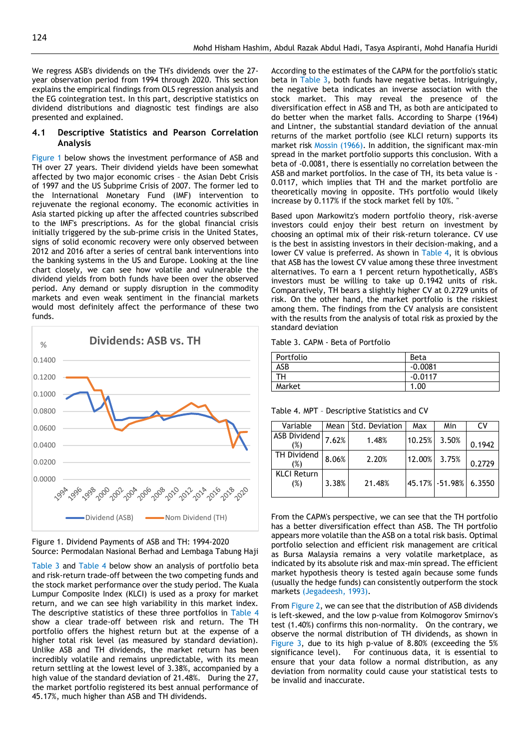We regress ASB's dividends on the TH's dividends over the 27 year observation period from 1994 through 2020. This section explains the empirical findings from OLS regression analysis and the EG cointegration test. In this part, descriptive statistics on dividend distributions and diagnostic test findings are also presented and explained.

#### **4.1 Descriptive Statistics and Pearson Correlation Analysis**

Figure 1 below shows the investment performance of ASB and TH over 27 years. Their dividend yields have been somewhat affected by two major economic crises – the Asian Debt Crisis of 1997 and the US Subprime Crisis of 2007. The former led to the International Monetary Fund (IMF) intervention to rejuvenate the regional economy. The economic activities in Asia started picking up after the affected countries subscribed to the IMF's prescriptions. As for the global financial crisis initially triggered by the sub-prime crisis in the United States, signs of solid economic recovery were only observed between 2012 and 2016 after a series of central bank interventions into the banking systems in the US and Europe. Looking at the line chart closely, we can see how volatile and vulnerable the dividend yields from both funds have been over the observed period. Any demand or supply disruption in the commodity markets and even weak sentiment in the financial markets would most definitely affect the performance of these two funds.





Table 3 and Table 4 below show an analysis of portfolio beta and risk-return trade-off between the two competing funds and the stock market performance over the study period. The Kuala Lumpur Composite Index (KLCI) is used as a proxy for market return, and we can see high variability in this market index. The descriptive statistics of these three portfolios in Table 4 show a clear trade-off between risk and return. The TH portfolio offers the highest return but at the expense of a higher total risk level (as measured by standard deviation). Unlike ASB and TH dividends, the market return has been incredibly volatile and remains unpredictable, with its mean return settling at the lowest level of 3.38%, accompanied by a high value of the standard deviation of 21.48%. During the 27, the market portfolio registered its best annual performance of 45.17%, much higher than ASB and TH dividends.

According to the estimates of the CAPM for the portfolio's static beta in Table 3, both funds have negative betas. Intriguingly, the negative beta indicates an inverse association with the stock market. This may reveal the presence of the diversification effect in ASB and TH, as both are anticipated to do better when the market falls. According to Sharpe (1964) and Lintner, the substantial standard deviation of the annual returns of the market portfolio (see KLCI return) supports its market risk Mossin (1966). In addition, the significant max-min spread in the market portfolio supports this conclusion. With a beta of -0.0081, there is essentially no correlation between the ASB and market portfolios. In the case of TH, its beta value is - 0.0117, which implies that TH and the market portfolio are theoretically moving in opposite. TH's portfolio would likely increase by 0.117% if the stock market fell by 10%. ''

Based upon Markowitz's modern portfolio theory, risk-averse investors could enjoy their best return on investment by choosing an optimal mix of their risk-return tolerance. CV use is the best in assisting investors in their decision-making, and a lower CV value is preferred. As shown in Table 4, it is obvious that ASB has the lowest CV value among these three investment alternatives. To earn a 1 percent return hypothetically, ASB's investors must be willing to take up 0.1942 units of risk. Comparatively, TH bears a slightly higher CV at 0.2729 units of risk. On the other hand, the market portfolio is the riskiest among them. The findings from the CV analysis are consistent with the results from the analysis of total risk as proxied by the standard deviation

Table 3. CAPM - Beta of Portfolio

| Portfolio | Beta      |
|-----------|-----------|
| ASB       | $-0.0081$ |
| гн        | $-0.0117$ |
| Market    | .00.<br>1 |

Table 4. MPT – Descriptive Statistics and CV

| Variable                  | Mean  | Std. Deviation | Max    | Min             | CV     |
|---------------------------|-------|----------------|--------|-----------------|--------|
| ASB Dividend<br>(%)       | 7.62% | 1.48%          | 10.25% | 3.50%           | 0.1942 |
| TH Dividend<br>(%)        | 8.06% | 2.20%          | 12.00% | 3.75%           | 0.2729 |
| <b>KLCI Return</b><br>(%) | 3.38% | 21.48%         |        | 45.17% - 51.98% | 6.3550 |

From the CAPM's perspective, we can see that the TH portfolio has a better diversification effect than ASB. The TH portfolio appears more volatile than the ASB on a total risk basis. Optimal portfolio selection and efficient risk management are critical as Bursa Malaysia remains a very volatile marketplace, as indicated by its absolute risk and max-min spread. The efficient market hypothesis theory is tested again because some funds (usually the hedge funds) can consistently outperform the stock markets (Jegadeesh, 1993).

From Figure 2, we can see that the distribution of ASB dividends is left-skewed, and the low p-value from Kolmogorov Smirnov's test (1.40%) confirms this non-normality. On the contrary, we observe the normal distribution of TH dividends, as shown in Figure 3, due to its high p-value of 8.80% (exceeding the 5% significance level). For continuous data, it is essential to ensure that your data follow a normal distribution, as any deviation from normality could cause your statistical tests to be invalid and inaccurate.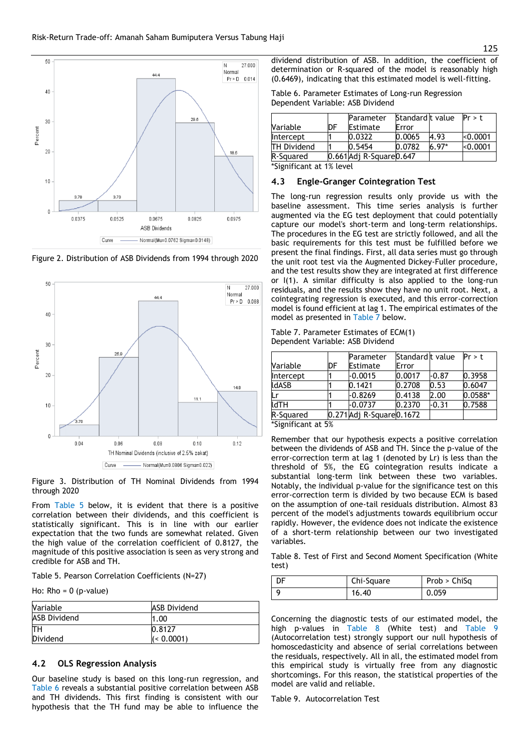

Figure 2. Distribution of ASB Dividends from 1994 through 2020



Figure 3. Distribution of TH Nominal Dividends from 1994 through 2020

From Table 5 below, it is evident that there is a positive correlation between their dividends, and this coefficient is statistically significant. This is in line with our earlier expectation that the two funds are somewhat related. Given the high value of the correlation coefficient of 0.8127, the magnitude of this positive association is seen as very strong and credible for ASB and TH.

Table 5. Pearson Correlation Coefficients (N=27)

Ho:  $Rho = 0$  (p-value)

| <b>Nariable</b>     | <b>ASB Dividend</b> |
|---------------------|---------------------|
| <b>ASB Dividend</b> | 1.00                |
| lТH                 | 0.8127              |
| <b>Dividend</b>     | (< 0.0001)          |

#### **4.2 OLS Regression Analysis**

Our baseline study is based on this long-run regression, and Table 6 reveals a substantial positive correlation between ASB and TH dividends. This first finding is consistent with our hypothesis that the TH fund may be able to influence the

dividend distribution of ASB. In addition, the coefficient of determination or R-squared of the model is reasonably high (0.6469), indicating that this estimated model is well-fitting.

| Table 6. Parameter Estimates of Long-run Regression |  |
|-----------------------------------------------------|--|
| Dependent Variable: ASB Dividend                    |  |

|    |                                           |                                                       | Pr > f                              |
|----|-------------------------------------------|-------------------------------------------------------|-------------------------------------|
| DF |                                           |                                                       |                                     |
|    |                                           |                                                       | < 0.0001                            |
|    |                                           |                                                       | < 0.0001                            |
|    |                                           |                                                       |                                     |
|    | Parameter<br>Estimate<br>0.0322<br>0.5454 | Error<br>0.0065<br>0.0782<br>0.661 Adj R-Square 0.647 | Standard t value<br>4.93<br>$6.97*$ |

\*Significant at 1% level

#### **4.3 Engle-Granger Cointegration Test**

The long-run regression results only provide us with the baseline assessment. This time series analysis is further augmented via the EG test deployment that could potentially capture our model's short-term and long-term relationships. The procedures in the EG test are strictly followed, and all the basic requirements for this test must be fulfilled before we present the final findings. First, all data series must go through the unit root test via the Augmented Dickey-Fuller procedure, and the test results show they are integrated at first difference or I(1). A similar difficulty is also applied to the long-run residuals, and the results show they have no unit root. Next, a cointegrating regression is executed, and this error-correction model is found efficient at lag 1. The empirical estimates of the model as presented in Table 7 below.

Table 7. Parameter Estimates of ECM(1) Dependent Variable: ASB Dividend

|                 |    | Parameter                 | Standard t value |         | Pr > t    |
|-----------------|----|---------------------------|------------------|---------|-----------|
| <b>Variable</b> | DF | Estimate                  | Error            |         |           |
| Intercept       |    | -0.0015                   | 0.0017           | $-0.87$ | 0.3958    |
| <b>IdASB</b>    |    | 0.1421                    | 0.2708           | 0.53    | 0.6047    |
|                 |    | $-0.8269$                 | 0.4138           | 2.00    | $0.0588*$ |
| <b>IdTH</b>     |    | -0.0737                   | 0.2370           | $-0.31$ | 0.7588    |
| R-Squared       |    | 0.271 Adj R-Square 0.1672 |                  |         |           |

\*Significant at 5%

Remember that our hypothesis expects a positive correlation between the dividends of ASB and TH. Since the p-value of the error-correction term at lag 1 (denoted by Lr) is less than the threshold of 5%, the EG cointegration results indicate a substantial long-term link between these two variables. Notably, the individual p-value for the significance test on this error-correction term is divided by two because ECM is based on the assumption of one-tail residuals distribution. Almost 83 percent of the model's adjustments towards equilibrium occur rapidly. However, the evidence does not indicate the existence of a short-term relationship between our two investigated variables.

Table 8. Test of First and Second Moment Specification (White test)

| Chi-Square | Prob > ChiSa |
|------------|--------------|
| 16.40      | 0.059        |

Concerning the diagnostic tests of our estimated model, the high p-values in Table 8 (White test) and Table 9 (Autocorrelation test) strongly support our null hypothesis of homoscedasticity and absence of serial correlations between the residuals, respectively. All in all, the estimated model from this empirical study is virtually free from any diagnostic shortcomings. For this reason, the statistical properties of the model are valid and reliable.

Table 9. Autocorrelation Test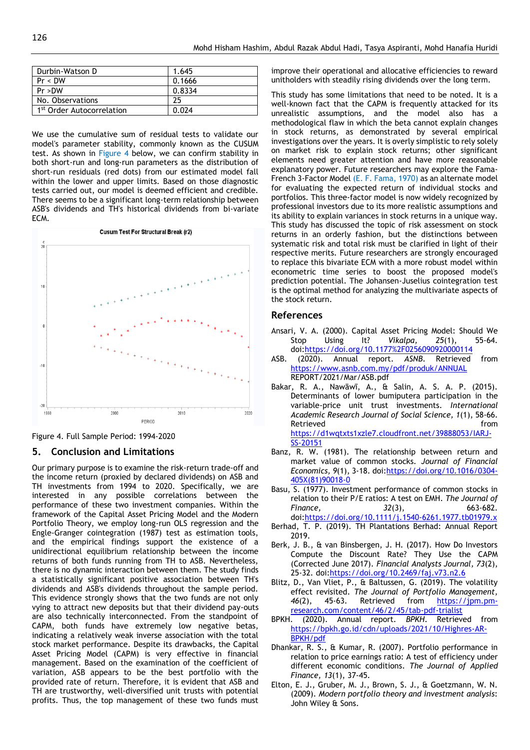| Durbin-Watson D                       | 1.645  |
|---------------------------------------|--------|
| Pr < DW                               | 0.1666 |
| Pr > DW                               | 0.8334 |
| No. Observations                      | 25     |
| 1 <sup>st</sup> Order Autocorrelation | 0.024  |

We use the cumulative sum of residual tests to validate our model's parameter stability, commonly known as the CUSUM test. As shown in Figure 4 below, we can confirm stability in both short-run and long-run parameters as the distribution of short-run residuals (red dots) from our estimated model fall within the lower and upper limits. Based on those diagnostic tests carried out, our model is deemed efficient and credible. There seems to be a significant long-term relationship between ASB's dividends and TH's historical dividends from bi-variate ECM.



Figure 4. Full Sample Period: 1994-2020

#### **5. Conclusion and Limitations**

Our primary purpose is to examine the risk-return trade-off and the income return (proxied by declared dividends) on ASB and TH investments from 1994 to 2020. Specifically, we are interested in any possible correlations between the performance of these two investment companies. Within the framework of the Capital Asset Pricing Model and the Modern Portfolio Theory, we employ long-run OLS regression and the Engle-Granger cointegration (1987) test as estimation tools, and the empirical findings support the existence of a unidirectional equilibrium relationship between the income returns of both funds running from TH to ASB. Nevertheless, there is no dynamic interaction between them. The study finds a statistically significant positive association between TH's dividends and ASB's dividends throughout the sample period. This evidence strongly shows that the two funds are not only vying to attract new deposits but that their dividend pay-outs are also technically interconnected. From the standpoint of CAPM, both funds have extremely low negative betas, indicating a relatively weak inverse association with the total stock market performance. Despite its drawbacks, the Capital Asset Pricing Model (CAPM) is very effective in financial management. Based on the examination of the coefficient of variation, ASB appears to be the best portfolio with the provided rate of return. Therefore, it is evident that ASB and TH are trustworthy, well-diversified unit trusts with potential profits. Thus, the top management of these two funds must improve their operational and allocative efficiencies to reward unitholders with steadily rising dividends over the long term.

This study has some limitations that need to be noted. It is a well-known fact that the CAPM is frequently attacked for its unrealistic assumptions, and the model also has a methodological flaw in which the beta cannot explain changes in stock returns, as demonstrated by several empirical investigations over the years. It is overly simplistic to rely solely on market risk to explain stock returns; other significant elements need greater attention and have more reasonable explanatory power. Future researchers may explore the Fama-French 3-Factor Model (E. F. Fama, 1970) as an alternate model for evaluating the expected return of individual stocks and portfolios. This three-factor model is now widely recognized by professional investors due to its more realistic assumptions and its ability to explain variances in stock returns in a unique way. This study has discussed the topic of risk assessment on stock returns in an orderly fashion, but the distinctions between systematic risk and total risk must be clarified in light of their respective merits. Future researchers are strongly encouraged to replace this bivariate ECM with a more robust model within econometric time series to boost the proposed model's prediction potential. The Johansen-Juselius cointegration test is the optimal method for analyzing the multivariate aspects of the stock return.

#### **References**

- Ansari, V. A. (2000). Capital Asset Pricing Model: Should We Stop Using It? *Vikalpa, 25*(1), 55-64. doi[:https://doi.org/10.1177%2F0256090920000114](https://doi.org/10.1177%2F0256090920000114)
- ASB. (2020). Annual report. *ASNB*. Retrieved from <https://www.asnb.com.my/pdf/produk/ANNUAL> REPORT/2021/Mar/ASB.pdf
- Bakar, R. A., Nawāwī, A., & Salin, A. S. A. P. (2015). Determinants of lower bumiputera participation in the variable-price unit trust investments. *International Academic Research Journal of Social Science, 1*(1), 58-66. Retrieved **from** [https://d1wqtxts1xzle7.cloudfront.net/39888053/IARJ-](https://d1wqtxts1xzle7.cloudfront.net/39888053/IARJ-SS-20151)[SS-20151](https://d1wqtxts1xzle7.cloudfront.net/39888053/IARJ-SS-20151)
- Banz, R. W. (1981). The relationship between return and market value of common stocks. *Journal of Financial Economics, 9*(1), 3-18. doi[:https://doi.org/10.1016/0304-](https://doi.org/10.1016/0304-405X(81)90018-0) [405X\(81\)90018-0](https://doi.org/10.1016/0304-405X(81)90018-0)
- Basu, S. (1977). Investment performance of common stocks in relation to their P/E ratios: A test on EMH. *The Journal of Finance, 32*(3), 663-682. doi[:https://doi.org/10.1111/j.1540-6261.1977.tb01979.x](https://doi.org/10.1111/j.1540-6261.1977.tb01979.x)
- Berhad, T. P. (2019). TH Plantations Berhad: Annual Report 2019.
- Berk, J. B., & van Binsbergen, J. H. (2017). How Do Investors Compute the Discount Rate? They Use the CAPM (Corrected June 2017). *Financial Analysts Journal, 73*(2), 25-32. doi[:https://doi.org/10.2469/faj.v73.n2.6](https://doi.org/10.2469/faj.v73.n2.6)
- Blitz, D., Van Vliet, P., & Baltussen, G. (2019). The volatility effect revisited. *The Journal of Portfolio Management, 46*(2), 45-63. Retrieved from [https://jpm.pm](https://jpm.pm-research.com/content/46/2/45/tab-pdf-trialist)[research.com/content/46/2/45/tab-pdf-trialist](https://jpm.pm-research.com/content/46/2/45/tab-pdf-trialist)
- BPKH. (2020). Annual report. *BPKH*. Retrieved from [https://bpkh.go.id/cdn/uploads/2021/10/Highres-AR-](https://bpkh.go.id/cdn/uploads/2021/10/Highres-AR-BPKH/pdf)[BPKH/pdf](https://bpkh.go.id/cdn/uploads/2021/10/Highres-AR-BPKH/pdf)
- Dhankar, R. S., & Kumar, R. (2007). Portfolio performance in relation to price earnings ratio: A test of efficiency under different economic conditions. *The Journal of Applied Finance, 13*(1), 37-45.
- Elton, E. J., Gruber, M. J., Brown, S. J., & Goetzmann, W. N. (2009). *Modern portfolio theory and investment analysis*: John Wiley & Sons.